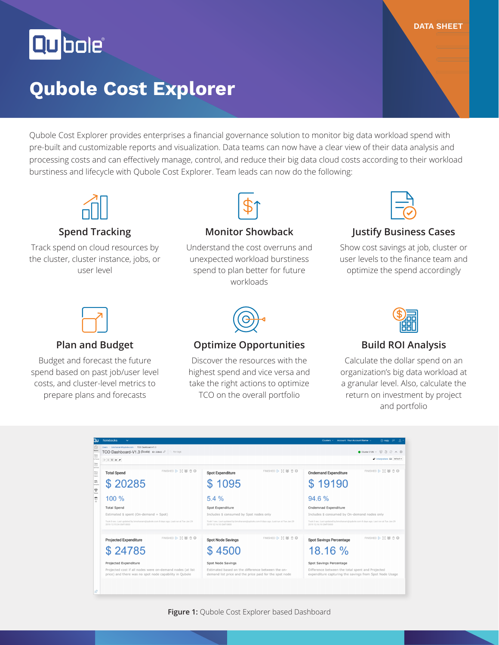Qubolet

# **Qubole Cost Explorer**

Qubole Cost Explorer provides enterprises a financial governance solution to monitor big data workload spend with pre-built and customizable reports and visualization. Data teams can now have a clear view of their data analysis and processing costs and can effectively manage, control, and reduce their big data cloud costs according to their workload burstiness and lifecycle with Qubole Cost Explorer. Team leads can now do the following:



#### **Spend Tracking**

Track spend on cloud resources by the cluster, cluster instance, jobs, or user level



#### **Monitor Showback**

Understand the cost overruns and unexpected workload burstiness spend to plan better for future workloads



**DATA SHEET**

#### **Justify Business Cases**

Show cost savings at job, cluster or user levels to the finance team and optimize the spend accordingly



#### **Plan and Budget**

Budget and forecast the future spend based on past job/user level costs, and cluster-level metrics to prepare plans and forecasts



#### **Optimize Opportunities**

Discover the resources with the highest spend and vice versa and take the right actions to optimize TCO on the overall portfolio



#### **Build ROI Analysis**

Calculate the dollar spend on an organization's big data workload at a granular level. Also, calculate the return on investment by project and portfolio